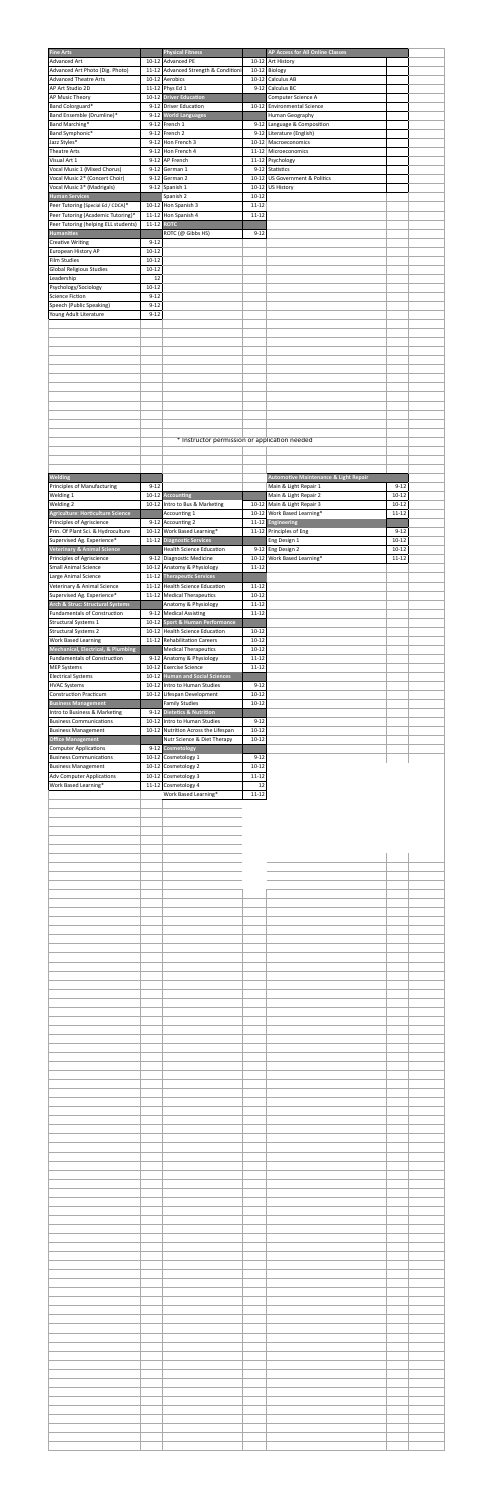| <b>Fine Arts</b><br><b>Advanced Art</b>                                              |                        | <b>Physical Fitness</b><br>10-12 Advanced PE                        |                        | AP Access for All Online Classes<br>10-12 Art History     |                        |  |
|--------------------------------------------------------------------------------------|------------------------|---------------------------------------------------------------------|------------------------|-----------------------------------------------------------|------------------------|--|
| Advanced Art Photo (Dig. Photo)<br><b>Advanced Theatre Arts</b>                      |                        | 11-12 Advanced Strength & Conditioni<br>10-12 Aerobics              |                        | 10-12 Biology<br>10-12 Calculus AB                        |                        |  |
| AP Art Studio 2D<br>AP Music Theory                                                  |                        | 11-12 Phys Ed 1<br>10-12 Driver Education                           |                        | 9-12 Calculus BC<br>Computer Science A                    |                        |  |
| Band Colorguard*<br>Band Ensemble (Drumline)*                                        |                        | 9-12 Driver Education<br>9-12 World Languages                       |                        | 10-12 Environmental Science<br>Human Geography            |                        |  |
| Band Marching*<br>Band Symphonic*                                                    |                        | $9-12$ French 1<br>$9-12$ French 2                                  |                        | 9-12 Language & Composition<br>9-12 Literature (English)  |                        |  |
| Jazz Styles*<br><b>Theatre Arts</b>                                                  |                        | $9-12$ Hon French 3<br>9-12 Hon French 4                            |                        | 10-12 Macroeconomics<br>11-12 Microeconomics              |                        |  |
| Visual Art 1<br>Vocal Music 1 (Mixed Chorus)                                         |                        | $9-12$ AP French<br>$9-12$ German 1                                 |                        | 11-12 Psychology<br>9-12 Statistics                       |                        |  |
| Vocal Music 2* (Concert Choir)<br>Vocal Music 3* (Madrigals)                         |                        | $9-12$ German 2<br>9-12 Spanish 1                                   |                        | 10-12 US Government & Politics<br>10-12 US History        |                        |  |
| <b>Human Services</b><br>Peer Tutoring (Special Ed / CDCA)*                          |                        | Spanish 2<br>10-12 Hon Spanish 3                                    | $10 - 12$<br>$11 - 12$ |                                                           |                        |  |
| Peer Tutoring (Academic Tutoring)*<br>Peer Tutoring (helping ELL students)           |                        | $11-12$ Hon Spanish 4<br>11-12 ROTC                                 | $11 - 12$              |                                                           |                        |  |
| <b>Humanities</b><br><b>Creative Writing</b>                                         | $9 - 12$               | ROTC (@ Gibbs HS)                                                   | $9 - 12$               |                                                           |                        |  |
| European History AP<br><b>Film Studies</b>                                           | $10 - 12$<br>$10 - 12$ |                                                                     |                        |                                                           |                        |  |
| Global Religious Studies<br>Leadership                                               | $10 - 12$<br>12        |                                                                     |                        |                                                           |                        |  |
| Psychology/Sociology<br><b>Science Fiction</b>                                       | $10 - 12$<br>$9 - 12$  |                                                                     |                        |                                                           |                        |  |
| Speech (Public Speaking)<br>Young Adult Literature                                   | $9 - 12$<br>$9 - 12$   |                                                                     |                        |                                                           |                        |  |
|                                                                                      |                        |                                                                     |                        |                                                           |                        |  |
|                                                                                      |                        |                                                                     |                        |                                                           |                        |  |
|                                                                                      |                        |                                                                     |                        |                                                           |                        |  |
|                                                                                      |                        |                                                                     |                        |                                                           |                        |  |
|                                                                                      |                        |                                                                     |                        |                                                           |                        |  |
|                                                                                      |                        |                                                                     |                        |                                                           |                        |  |
|                                                                                      |                        | * Instructor permission or application needed                       |                        |                                                           |                        |  |
|                                                                                      |                        |                                                                     |                        |                                                           |                        |  |
| Welding                                                                              |                        |                                                                     |                        | Automotive Maintenance & Light Repair                     |                        |  |
| Principles of Manufacturing<br>Welding 1                                             | $9 - 12$               | 10-12 Accounting                                                    |                        | Main & Light Repair 1<br>Main & Light Repair 2            | $9 - 12$<br>$10 - 12$  |  |
| Welding 2<br>Agriculture: Horticulture Science                                       |                        | 10-12 Intro to Bus & Marketing<br>Accounting 1                      |                        | 10-12 Main & Light Repair 3<br>10-12 Work Based Learning* | $10 - 12$<br>$11 - 12$ |  |
| Principles of Agriscience<br>Prin. Of Plant Sci. & Hydroculture                      |                        | $9-12$ Accounting 2<br>10-12 Work Based Learning*                   |                        | 11-12 Engineering<br>11-12 Principles of Eng              | $9 - 12$               |  |
| Supervised Ag. Experience*<br><b>Veterinary &amp; Animal Science</b>                 |                        | 11-12 Diagnostic Services<br><b>Health Science Education</b>        |                        | Eng Design 1<br>$9-12$ Eng Design 2                       | $10 - 12$<br>$10 - 12$ |  |
| Principles of Agriscience<br><b>Small Animal Science</b>                             |                        | 9-12 Diagnostic Medicine<br>10-12 Anatomy & Physiology              | $11 - 12$              | 10-12 Work Based Learning*                                | $11 - 12$              |  |
| Large Animal Science<br>Veterinary & Animal Science                                  |                        | 11-12 Therapeutic Services<br>11-12 Health Science Education        | $11 - 12$              |                                                           |                        |  |
| Supervised Ag. Experience*<br>Arch & Struc: Structural Systems                       |                        | 11-12 Medical Therapeutics<br>Anatomy & Physiology                  | $10 - 12$<br>$11 - 12$ |                                                           |                        |  |
| <b>Fundamentals of Construction</b><br><b>Structural Systems 1</b>                   |                        | 9-12 Medical Assisting<br>10-12 Sport & Human Performance           | $11 - 12$              |                                                           |                        |  |
| <b>Structural Systems 2</b><br><b>Work Based Learning</b>                            |                        | 10-12 Health Science Education<br>11-12 Rehabilitation Careers      | $10 - 12$<br>$10 - 12$ |                                                           |                        |  |
| <b>Mechanical, Electrical, &amp; Plumbing</b><br><b>Fundamentals of Construction</b> |                        | <b>Medical Therapeutics</b><br>9-12 Anatomy & Physiology            | $10 - 12$<br>$11 - 12$ |                                                           |                        |  |
| <b>MEP Systems</b><br><b>Electrical Systems</b>                                      |                        | 10-12 Exercise Science<br>10-12 Human and Social Sciences           | $11 - 12$              |                                                           |                        |  |
| <b>HVAC Systems</b><br><b>Construction Practicum</b>                                 |                        | 10-12 Intro to Human Studies<br>10-12 Lifespan Development          | $9 - 12$<br>$10 - 12$  |                                                           |                        |  |
| <b>Business Management</b><br>Intro to Business & Marketing                          |                        | <b>Family Studies</b><br>9-12 Dietetics & Nutrition                 | $10 - 12$              |                                                           |                        |  |
| <b>Business Communications</b><br><b>Business Management</b>                         |                        | 10-12 Intro to Human Studies<br>10-12 Nutrition Across the Lifespan | $9 - 12$<br>$10 - 12$  |                                                           |                        |  |
| <b>Office Management</b>                                                             |                        | Nutr Science & Diet Therapy<br>9-12 Cosmetology                     | $10 - 12$              |                                                           |                        |  |
| <b>Computer Applications</b>                                                         |                        |                                                                     |                        |                                                           |                        |  |
| <b>Business Communications</b><br><b>Business Management</b>                         |                        | 10-12 Cosmetology 1<br>10-12 Cosmetology 2                          | $9 - 12$<br>$10 - 12$  |                                                           |                        |  |
| <b>Adv Computer Applications</b><br>Work Based Learning*                             |                        | 10-12 Cosmetology 3<br>11-12 Cosmetology 4                          | $11 - 12$<br>12        |                                                           |                        |  |
|                                                                                      |                        | Work Based Learning*                                                | $11 - 12$              |                                                           |                        |  |
|                                                                                      |                        |                                                                     |                        |                                                           |                        |  |
|                                                                                      |                        |                                                                     |                        |                                                           |                        |  |
|                                                                                      |                        |                                                                     |                        |                                                           |                        |  |
|                                                                                      |                        |                                                                     |                        |                                                           |                        |  |
|                                                                                      |                        |                                                                     |                        |                                                           |                        |  |
|                                                                                      |                        |                                                                     |                        |                                                           |                        |  |
|                                                                                      |                        |                                                                     |                        |                                                           |                        |  |
|                                                                                      |                        |                                                                     |                        |                                                           |                        |  |
|                                                                                      |                        |                                                                     |                        |                                                           |                        |  |
|                                                                                      |                        |                                                                     |                        |                                                           |                        |  |
|                                                                                      |                        |                                                                     |                        |                                                           |                        |  |
|                                                                                      |                        |                                                                     |                        |                                                           |                        |  |
|                                                                                      |                        |                                                                     |                        |                                                           |                        |  |
|                                                                                      |                        |                                                                     |                        |                                                           |                        |  |
|                                                                                      |                        |                                                                     |                        |                                                           |                        |  |
|                                                                                      |                        |                                                                     |                        |                                                           |                        |  |
|                                                                                      |                        |                                                                     |                        |                                                           |                        |  |
|                                                                                      |                        |                                                                     |                        |                                                           |                        |  |
|                                                                                      |                        |                                                                     |                        |                                                           |                        |  |
|                                                                                      |                        |                                                                     |                        |                                                           |                        |  |
|                                                                                      |                        |                                                                     |                        |                                                           |                        |  |
|                                                                                      |                        |                                                                     |                        |                                                           |                        |  |
|                                                                                      |                        |                                                                     |                        |                                                           |                        |  |
|                                                                                      |                        |                                                                     |                        |                                                           |                        |  |
|                                                                                      |                        |                                                                     |                        |                                                           |                        |  |
|                                                                                      |                        |                                                                     |                        |                                                           |                        |  |
|                                                                                      |                        |                                                                     |                        |                                                           |                        |  |
|                                                                                      |                        |                                                                     |                        |                                                           |                        |  |
|                                                                                      |                        |                                                                     |                        |                                                           |                        |  |
|                                                                                      |                        |                                                                     |                        |                                                           |                        |  |
|                                                                                      |                        |                                                                     |                        |                                                           |                        |  |
|                                                                                      |                        |                                                                     |                        |                                                           |                        |  |
|                                                                                      |                        |                                                                     |                        |                                                           |                        |  |
|                                                                                      |                        |                                                                     |                        |                                                           |                        |  |